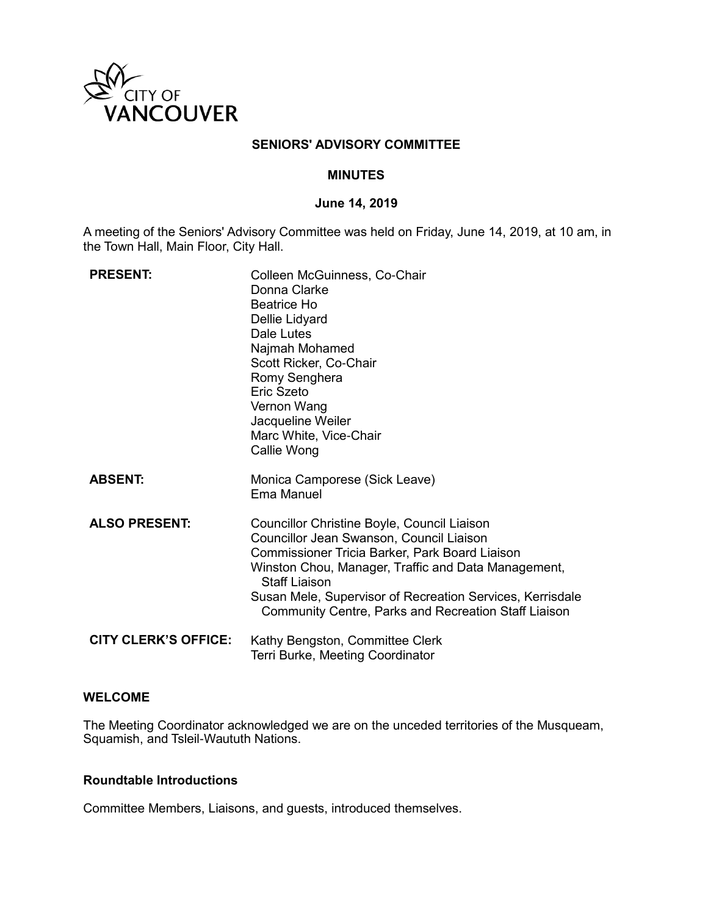

### **SENIORS' ADVISORY COMMITTEE**

### **MINUTES**

#### **June 14, 2019**

A meeting of the Seniors' Advisory Committee was held on Friday, June 14, 2019, at 10 am, in the Town Hall, Main Floor, City Hall.

| <b>PRESENT:</b>             | Colleen McGuinness, Co-Chair<br>Donna Clarke<br>Beatrice Ho<br>Dellie Lidyard<br>Dale Lutes<br>Najmah Mohamed<br>Scott Ricker, Co-Chair<br>Romy Senghera<br>Eric Szeto<br>Vernon Wang<br>Jacqueline Weiler<br>Marc White, Vice-Chair<br>Callie Wong                                                                                                  |
|-----------------------------|------------------------------------------------------------------------------------------------------------------------------------------------------------------------------------------------------------------------------------------------------------------------------------------------------------------------------------------------------|
| <b>ABSENT:</b>              | Monica Camporese (Sick Leave)<br>Ema Manuel                                                                                                                                                                                                                                                                                                          |
| <b>ALSO PRESENT:</b>        | Councillor Christine Boyle, Council Liaison<br>Councillor Jean Swanson, Council Liaison<br>Commissioner Tricia Barker, Park Board Liaison<br>Winston Chou, Manager, Traffic and Data Management,<br><b>Staff Liaison</b><br>Susan Mele, Supervisor of Recreation Services, Kerrisdale<br><b>Community Centre, Parks and Recreation Staff Liaison</b> |
| <b>CITY CLERK'S OFFICE:</b> | Kathy Bengston, Committee Clerk<br>Terri Burke, Meeting Coordinator                                                                                                                                                                                                                                                                                  |

### **WELCOME**

The Meeting Coordinator acknowledged we are on the unceded territories of the Musqueam, Squamish, and Tsleil-Waututh Nations.

### **Roundtable Introductions**

Committee Members, Liaisons, and guests, introduced themselves.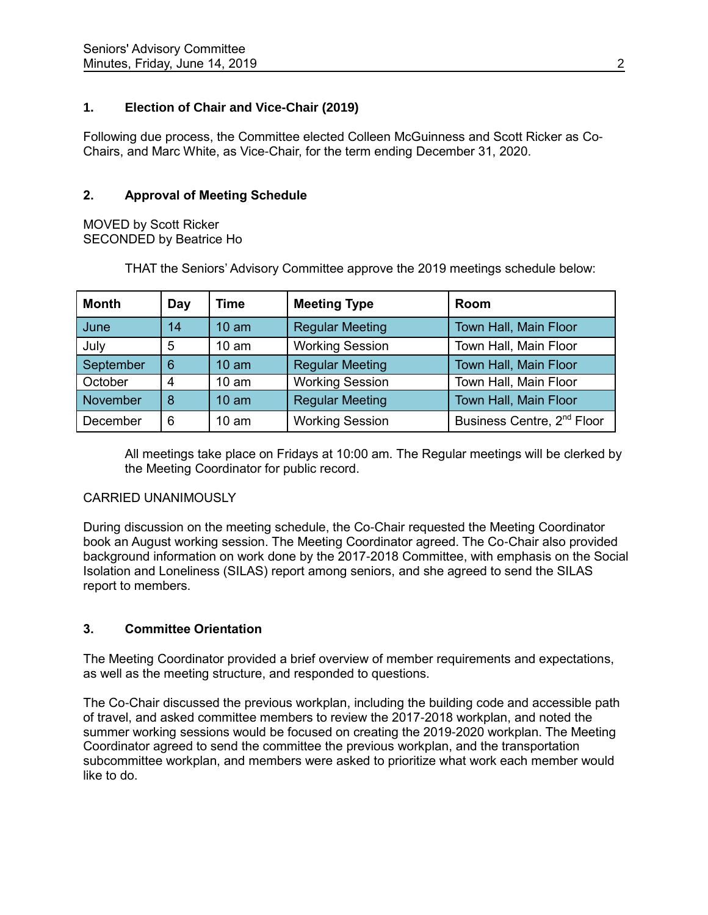# **1. Election of Chair and Vice-Chair (2019)**

Following due process, the Committee elected Colleen McGuinness and Scott Ricker as Co-Chairs, and Marc White, as Vice-Chair, for the term ending December 31, 2020.

# **2. Approval of Meeting Schedule**

MOVED by Scott Ricker SECONDED by Beatrice Ho

THAT the Seniors' Advisory Committee approve the 2019 meetings schedule below:

| <b>Month</b> | Day | <b>Time</b>      | <b>Meeting Type</b>    | Room                                   |
|--------------|-----|------------------|------------------------|----------------------------------------|
| June         | 14  | $10 \text{ am}$  | <b>Regular Meeting</b> | Town Hall, Main Floor                  |
| July         | 5   | 10 <sub>am</sub> | <b>Working Session</b> | Town Hall, Main Floor                  |
| September    | 6   | $10 \text{ am}$  | <b>Regular Meeting</b> | Town Hall, Main Floor                  |
| October      |     | 10 <sub>am</sub> | <b>Working Session</b> | Town Hall, Main Floor                  |
| November     | 8   | 10 <sub>am</sub> | <b>Regular Meeting</b> | Town Hall, Main Floor                  |
| December     | 6   | 10 <sub>am</sub> | <b>Working Session</b> | Business Centre, 2 <sup>nd</sup> Floor |

All meetings take place on Fridays at 10:00 am. The Regular meetings will be clerked by the Meeting Coordinator for public record.

### CARRIED UNANIMOUSLY

During discussion on the meeting schedule, the Co-Chair requested the Meeting Coordinator book an August working session. The Meeting Coordinator agreed. The Co-Chair also provided background information on work done by the 2017-2018 Committee, with emphasis on the Social Isolation and Loneliness (SILAS) report among seniors, and she agreed to send the SILAS report to members.

### **3. Committee Orientation**

The Meeting Coordinator provided a brief overview of member requirements and expectations, as well as the meeting structure, and responded to questions.

The Co-Chair discussed the previous workplan, including the building code and accessible path of travel, and asked committee members to review the 2017-2018 workplan, and noted the summer working sessions would be focused on creating the 2019-2020 workplan. The Meeting Coordinator agreed to send the committee the previous workplan, and the transportation subcommittee workplan, and members were asked to prioritize what work each member would like to do.